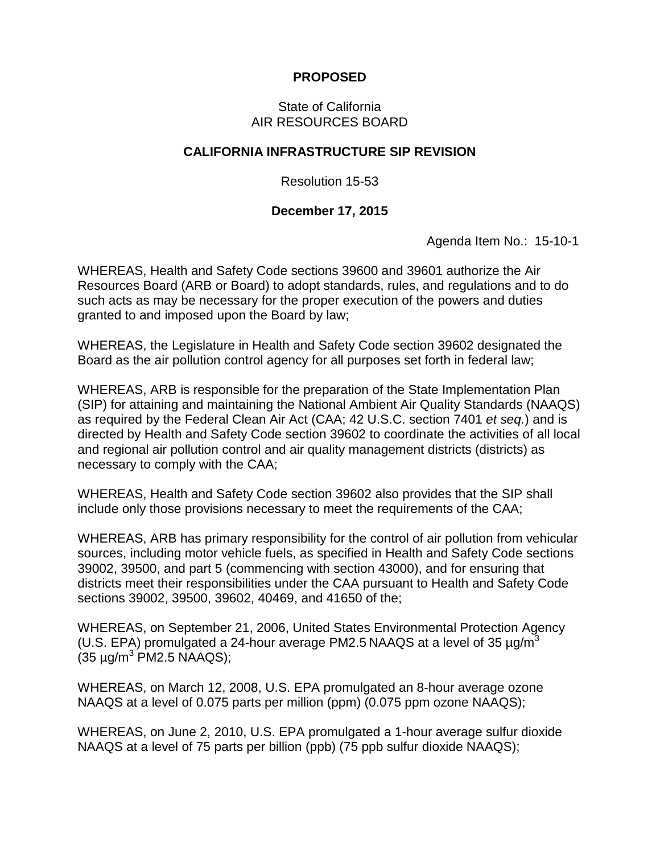## **PROPOSED**

## State of California AIR RESOURCES BOARD

## **CALIFORNIA INFRASTRUCTURE SIP REVISION**

Resolution 15-53

## **December 17, 2015**

Agenda Item No.: 15-10-1

WHEREAS, Health and Safety Code sections 39600 and 39601 authorize the Air Resources Board (ARB or Board) to adopt standards, rules, and regulations and to do such acts as may be necessary for the proper execution of the powers and duties granted to and imposed upon the Board by law;

WHEREAS, the Legislature in Health and Safety Code section 39602 designated the Board as the air pollution control agency for all purposes set forth in federal law;

WHEREAS, ARB is responsible for the preparation of the State Implementation Plan (SIP) for attaining and maintaining the National Ambient Air Quality Standards (NAAQS) as required by the Federal Clean Air Act (CAA; 42 U.S.C. section 7401 *et seq.*) and is directed by Health and Safety Code section 39602 to coordinate the activities of all local and regional air pollution control and air quality management districts (districts) as necessary to comply with the CAA;

WHEREAS, Health and Safety Code section 39602 also provides that the SIP shall include only those provisions necessary to meet the requirements of the CAA;

WHEREAS, ARB has primary responsibility for the control of air pollution from vehicular sources, including motor vehicle fuels, as specified in Health and Safety Code sections 39002, 39500, and part 5 (commencing with section 43000), and for ensuring that districts meet their responsibilities under the CAA pursuant to Health and Safety Code sections 39002, 39500, 39602, 40469, and 41650 of the;

WHEREAS, on September 21, 2006, United States Environmental Protection Agency (U.S. EPA) promulgated a 24-hour average PM2.5 NAAQS at a level of 35  $\mu q/m^3$  $(35 \text{ µg/m}^3 \text{ PM2.5 NAAQS});$ 

WHEREAS, on March 12, 2008, U.S. EPA promulgated an 8-hour average ozone NAAQS at a level of 0.075 parts per million (ppm) (0.075 ppm ozone NAAQS);

WHEREAS, on June 2, 2010, U.S. EPA promulgated a 1-hour average sulfur dioxide NAAQS at a level of 75 parts per billion (ppb) (75 ppb sulfur dioxide NAAQS);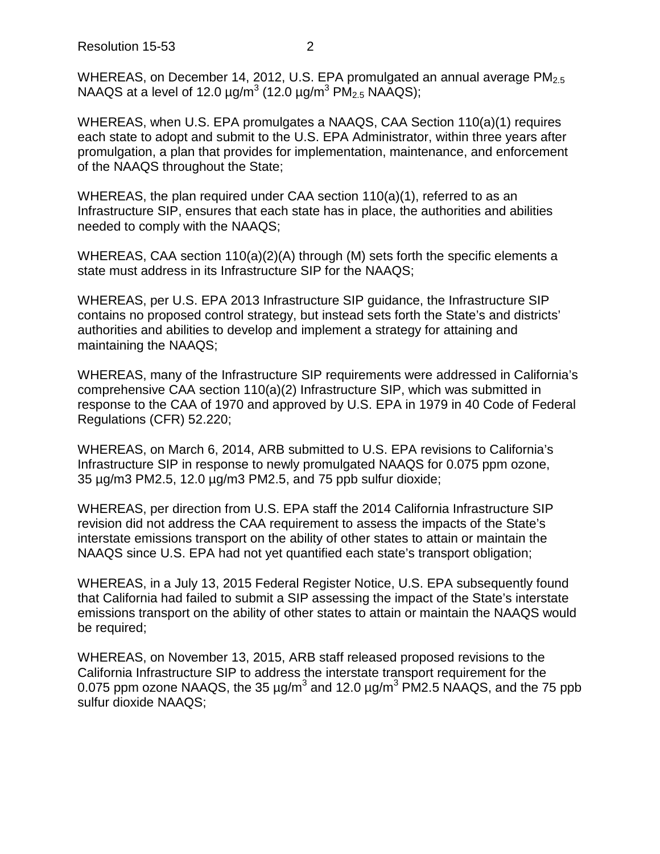WHEREAS, on December 14, 2012, U.S. EPA promulgated an annual average PM<sub>2.5</sub> NAAQS at a level of 12.0  $\mu$ g/m<sup>3</sup> (12.0  $\mu$ g/m<sup>3</sup> PM<sub>2.5</sub> NAAQS);

WHEREAS, when U.S. EPA promulgates a NAAQS, CAA Section 110(a)(1) requires each state to adopt and submit to the U.S. EPA Administrator, within three years after promulgation, a plan that provides for implementation, maintenance, and enforcement of the NAAQS throughout the State;

WHEREAS, the plan required under CAA section  $110(a)(1)$ , referred to as an Infrastructure SIP, ensures that each state has in place, the authorities and abilities needed to comply with the NAAQS;

WHEREAS, CAA section 110(a)(2)(A) through (M) sets forth the specific elements a state must address in its Infrastructure SIP for the NAAQS;

WHEREAS, per U.S. EPA 2013 Infrastructure SIP guidance, the Infrastructure SIP contains no proposed control strategy, but instead sets forth the State's and districts' authorities and abilities to develop and implement a strategy for attaining and maintaining the NAAQS;

WHEREAS, many of the Infrastructure SIP requirements were addressed in California's comprehensive CAA section 110(a)(2) Infrastructure SIP, which was submitted in response to the CAA of 1970 and approved by U.S. EPA in 1979 in 40 Code of Federal Regulations (CFR) 52.220;

WHEREAS, on March 6, 2014, ARB submitted to U.S. EPA revisions to California's Infrastructure SIP in response to newly promulgated NAAQS for 0.075 ppm ozone, 35 µg/m3 PM2.5, 12.0 µg/m3 PM2.5, and 75 ppb sulfur dioxide;

WHEREAS, per direction from U.S. EPA staff the 2014 California Infrastructure SIP revision did not address the CAA requirement to assess the impacts of the State's interstate emissions transport on the ability of other states to attain or maintain the NAAQS since U.S. EPA had not yet quantified each state's transport obligation;

WHEREAS, in a July 13, 2015 Federal Register Notice, U.S. EPA subsequently found that California had failed to submit a SIP assessing the impact of the State's interstate emissions transport on the ability of other states to attain or maintain the NAAQS would be required;

WHEREAS, on November 13, 2015, ARB staff released proposed revisions to the California Infrastructure SIP to address the interstate transport requirement for the 0.075 ppm ozone NAAQS, the 35  $\mu$ g/m<sup>3</sup> and 12.0  $\mu$ g/m<sup>3</sup> PM2.5 NAAQS, and the 75 ppb sulfur dioxide NAAQS;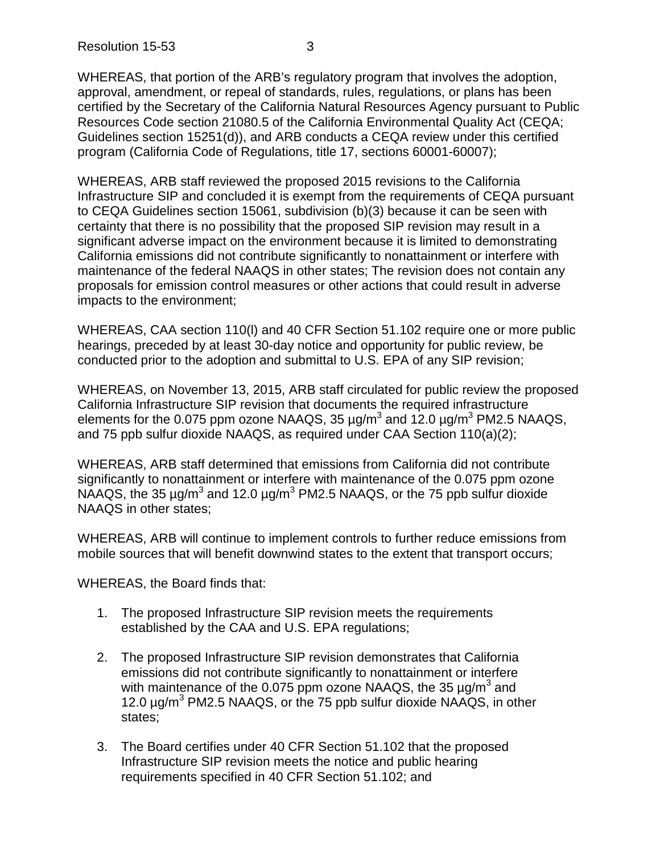Resolution 15-53 3

WHEREAS, that portion of the ARB's regulatory program that involves the adoption, approval, amendment, or repeal of standards, rules, regulations, or plans has been certified by the Secretary of the California Natural Resources Agency pursuant to Public Resources Code section 21080.5 of the California Environmental Quality Act (CEQA; Guidelines section 15251(d)), and ARB conducts a CEQA review under this certified program (California Code of Regulations, title 17, sections 60001-60007);

WHEREAS, ARB staff reviewed the proposed 2015 revisions to the California Infrastructure SIP and concluded it is exempt from the requirements of CEQA pursuant to CEQA Guidelines section 15061, subdivision (b)(3) because it can be seen with certainty that there is no possibility that the proposed SIP revision may result in a significant adverse impact on the environment because it is limited to demonstrating California emissions did not contribute significantly to nonattainment or interfere with maintenance of the federal NAAQS in other states; The revision does not contain any proposals for emission control measures or other actions that could result in adverse impacts to the environment;

WHEREAS, CAA section 110(l) and 40 CFR Section 51.102 require one or more public hearings, preceded by at least 30-day notice and opportunity for public review, be conducted prior to the adoption and submittal to U.S. EPA of any SIP revision;

WHEREAS, on November 13, 2015, ARB staff circulated for public review the proposed California Infrastructure SIP revision that documents the required infrastructure elements for the 0.075 ppm ozone NAAQS, 35  $\mu$ g/m<sup>3</sup> and 12.0  $\mu$ g/m<sup>3</sup> PM2.5 NAAQS, and 75 ppb sulfur dioxide NAAQS, as required under CAA Section 110(a)(2);

WHEREAS, ARB staff determined that emissions from California did not contribute significantly to nonattainment or interfere with maintenance of the 0.075 ppm ozone NAAQS, the 35  $\mu q/m^3$  and 12.0  $\mu q/m^3$  PM2.5 NAAQS, or the 75 ppb sulfur dioxide NAAQS in other states;

WHEREAS, ARB will continue to implement controls to further reduce emissions from mobile sources that will benefit downwind states to the extent that transport occurs;

WHEREAS, the Board finds that:

- 1. The proposed Infrastructure SIP revision meets the requirements established by the CAA and U.S. EPA regulations;
- 2. The proposed Infrastructure SIP revision demonstrates that California emissions did not contribute significantly to nonattainment or interfere with maintenance of the 0.075 ppm ozone NAAQS, the 35  $\mu$ g/m<sup>3</sup> and 12.0  $\mu$ g/m<sup>3</sup> PM2.5 NAAQS, or the 75 ppb sulfur dioxide NAAQS, in other states;
- 3. The Board certifies under 40 CFR Section 51.102 that the proposed Infrastructure SIP revision meets the notice and public hearing requirements specified in 40 CFR Section 51.102; and